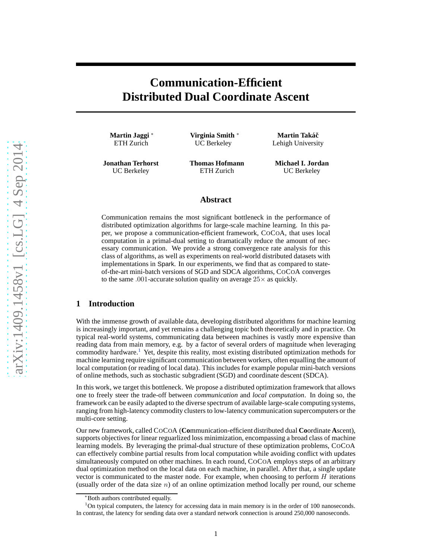# **Communication-Efficient Distributed Dual Coordinate Ascent**

**Martin Jaggi** <sup>∗</sup> ETH Zurich

**Virginia Smith** <sup>∗</sup> UC Berkeley

**Jonathan Terhorst** UC Berkeley

**Thomas Hofmann** ETH Zurich

**Martin Takáč** Lehigh University

**Michael I. Jordan** UC Berkeley

## **Abstract**

Communication remains the most significant bottleneck in the performance of distributed optimization algorithms for large-scale machine learning. In this paper, we propose a communication-efficient framework, COCOA, that uses local computation in a primal-dual setting to dramatically reduce the amount of necessary communication. We provide a strong convergence rate analysis for this class of algorithms, as well as experiments on real-world distributed datasets with implementations in Spark. In our experiments, we find that as compared to stateof-the-art mini-batch versions of SGD and SDCA algorithms, COCOA converges to the same .001-accurate solution quality on average  $25\times$  as quickly.

## **1 Introduction**

With the immense growth of available data, developing distributed algorithms for machine learning is increasingly important, and yet remains a challenging topic both theoretically and in practice. On typical real-world systems, communicating data between machines is vastly more expensive than reading data from main memory, e.g. by a factor of several orders of magnitude when leveraging commodity hardware.<sup>[1](#page-0-0)</sup> Yet, despite this reality, most existing distributed optimization methods for machine learning require significant communication between workers, often equalling the amount of local computation (or reading of local data). This includes for example popular mini-batch versions of online methods, such as stochastic subgradient (SGD) and coordinate descent (SDCA).

In this work, we target this bottleneck. We propose a distributed optimization framework that allows one to freely steer the trade-off between *communication* and *local computation*. In doing so, the framework can be easily adapted to the diverse spectrum of available large-scale computing systems, ranging from high-latency commodity clusters to low-latency communication supercomputers or the multi-core setting.

Our new framework, called COCOA (**Co**mmunication-efficient distributed dual **Co**ordinate **A**scent), supports objectives for linear reguarlized loss minimization, encompassing a broad class of machine learning models. By leveraging the primal-dual structure of these optimization problems, COCOA can effectively combine partial results from local computation while avoiding conflict with updates simultaneously computed on other machines. In each round, COCOA employs steps of an arbitrary dual optimization method on the local data on each machine, in parallel. After that, a single update vector is communicated to the master node. For example, when choosing to perform  $H$  iterations (usually order of the data size  $n$ ) of an online optimization method locally per round, our scheme

<sup>∗</sup>Both authors contributed equally.

<span id="page-0-0"></span> $1$ On typical computers, the latency for accessing data in main memory is in the order of 100 nanoseconds. In contrast, the latency for sending data over a standard network connection is around 250,000 nanoseconds.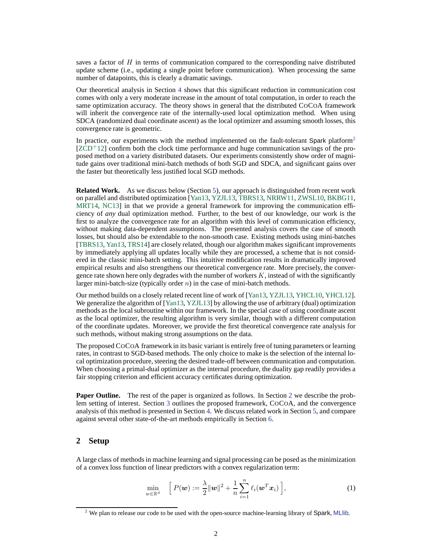saves a factor of  $H$  in terms of communication compared to the corresponding naive distributed update scheme (i.e., updating a single point before communication). When processing the same number of datapoints, this is clearly a dramatic savings.

Our theoretical analysis in Section [4](#page-3-0) shows that this significant reduction in communication cost comes with only a very moderate increase in the amount of total computation, in order to reach the same optimization accuracy. The theory shows in general that the distributed COCOA framework will inherit the convergence rate of the internally-used local optimization method. When using SDCA (randomized dual coordinate ascent) as the local optimizer and assuming smooth losses, this convergence rate is geometric.

In practice, our experiments with the method implemented on the fault-tolerant Spark platform<sup>[2](#page-1-0)</sup>  $[ZCD+12]$  $[ZCD+12]$  confirm both the clock time performance and huge communication savings of the proposed method on a variety distributed datasets. Our experiments consistently show order of magnitude gains over traditional mini-batch methods of both SGD and SDCA, and significant gains over the faster but theoretically less justified local SGD methods.

**Related Work.** As we discuss below (Section [5\)](#page-4-0), our approach is distinguished from recent work on parallel and distributed optimization [\[Yan13,](#page-9-1) [YZJL13,](#page-9-2) [TBRS13,](#page-9-3) [NRRW11,](#page-8-0) [ZWSL10,](#page-9-4) [BKBG11,](#page-8-1) [MRT14,](#page-8-2) [NC13\]](#page-8-3) in that we provide a general framework for improving the communication efficiency of *any* dual optimization method. Further, to the best of our knowledge, our work is the first to analyze the convergence rate for an algorithm with this level of communication efficiency, without making data-dependent assumptions. The presented analysis covers the case of smooth losses, but should also be extendable to the non-smooth case. Existing methods using mini-batches [\[TBRS13,](#page-9-3) [Yan13,](#page-9-1) [TRS14\]](#page-9-5) are closely related, though our algorithm makes significant improvements by immediately applying all updates locally while they are processed, a scheme that is not considered in the classic mini-batch setting. This intuitive modification results in dramatically improved empirical results and also strengthens our theoretical convergence rate. More precisely, the convergence rate shown here only degrades with the number of workers  $K$ , instead of with the significantly larger mini-batch-size (typically order  $n$ ) in the case of mini-batch methods.

Our method builds on a closely related recent line of work of [\[Yan13,](#page-9-1) [YZJL13,](#page-9-2) [YHCL10,](#page-9-6) [YHCL12\]](#page-9-7). We generalize the algorithm of [\[Yan13,](#page-9-1) [YZJL13\]](#page-9-2) by allowing the use of arbitrary (dual) optimization methods as the local subroutine within our framework. In the special case of using coordinate ascent as the local optimizer, the resulting algorithm is very similar, though with a different computation of the coordinate updates. Moreover, we provide the first theoretical convergence rate analysis for such methods, without making strong assumptions on the data.

The proposed COCOA framework in its basic variant is entirely free of tuning parameters or learning rates, in contrast to SGD-based methods. The only choice to make is the selection of the internal local optimization procedure, steering the desired trade-off between communication and computation. When choosing a primal-dual optimizer as the internal procedure, the duality gap readily provides a fair stopping criterion and efficient accuracy certificates during optimization.

**Paper Outline.** The rest of the paper is organized as follows. In Section [2](#page-1-1) we describe the problem setting of interest. Section [3](#page-2-0) outlines the proposed framework, COCOA, and the convergence analysis of this method is presented in Section [4.](#page-3-0) We discuss related work in Section [5,](#page-4-0) and compare against several other state-of-the-art methods empirically in Section [6.](#page-6-0)

## <span id="page-1-1"></span>**2 Setup**

A large class of methods in machine learning and signal processing can be posed as the minimization of a convex loss function of linear predictors with a convex regularization term:

<span id="page-1-2"></span>
$$
\min_{\mathbf{w}\in\mathbb{R}^d} \quad \left[ P(\mathbf{w}) := \frac{\lambda}{2} \|\mathbf{w}\|^2 + \frac{1}{n} \sum_{i=1}^n \ell_i(\mathbf{w}^T \mathbf{x}_i) \right],\tag{1}
$$

<span id="page-1-0"></span> $2$  We plan to release our code to be used with the open-source machine-learning library of Spark, [MLlib](http://spark.apache.org/mllib/).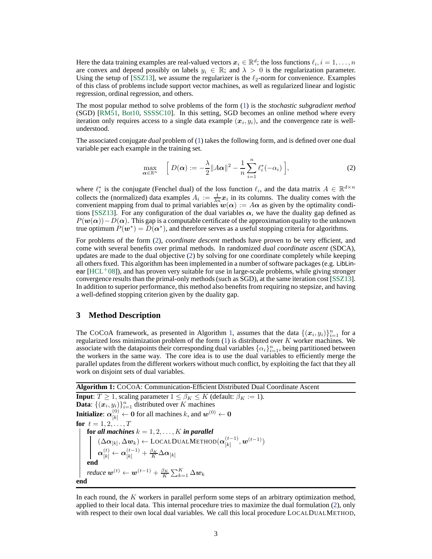Here the data training examples are real-valued vectors  $\bm{x}_i \in \mathbb{R}^d;$  the loss functions  $\ell_i, i=1,\ldots,n$ are convex and depend possibly on labels  $y_i \in \mathbb{R}$ ; and  $\lambda > 0$  is the regularization parameter. Using the setup of [\[SSZ13\]](#page-8-4), we assume the regularizer is the  $\ell_2$ -norm for convenience. Examples of this class of problems include support vector machines, as well as regularized linear and logistic regression, ordinal regression, and others.

The most popular method to solve problems of the form [\(1\)](#page-1-2) is the *stochastic subgradient method* (SGD) [\[RM51,](#page-8-5) [Bot10,](#page-8-6) [SSSSC10\]](#page-8-7). In this setting, SGD becomes an online method where every iteration only requires access to a single data example  $(x_i, y_i)$ , and the convergence rate is wellunderstood.

The associated conjugate *dual* problem of [\(1\)](#page-1-2) takes the following form, and is defined over one dual variable per each example in the training set.

<span id="page-2-1"></span>
$$
\max_{\boldsymbol{\alpha} \in \mathbb{R}^n} \quad \left[ D(\boldsymbol{\alpha}) := -\frac{\lambda}{2} \|A\boldsymbol{\alpha}\|^2 - \frac{1}{n} \sum_{i=1}^n \ell_i^*(-\alpha_i) \right],\tag{2}
$$

where  $\ell_i^*$  is the conjugate (Fenchel dual) of the loss function  $\ell_i$ , and the data matrix  $A \in \mathbb{R}^{d \times n}$ collects the (normalized) data examples  $A_i := \frac{1}{\lambda n} x_i$  in its columns. The duality comes with the convenient mapping from dual to primal variables  $w(\alpha) := A\alpha$  as given by the optimality condi-tions [\[SSZ13\]](#page-8-4). For any configuration of the dual variables  $\alpha$ , we have the duality gap defined as  $P(\mathbf{w}(\alpha))$  –  $D(\alpha)$ . This gap is a computable certificate of the approximation quality to the unknown true optimum  $P(w^*) = D(\alpha^*)$ , and therefore serves as a useful stopping criteria for algorithms.

For problems of the form [\(2\)](#page-2-1), *coordinate descent* methods have proven to be very efficient, and come with several benefits over primal methods. In randomized *dual coordinate ascent* (SDCA), updates are made to the dual objective [\(2\)](#page-2-1) by solving for one coordinate completely while keeping all others fixed. This algorithm has been implemented in a number of software packages (e.g. LibLinear  $[HCL<sup>+</sup>08]$  $[HCL<sup>+</sup>08]$ ), and has proven very suitable for use in large-scale problems, while giving stronger convergence results than the primal-only methods (such as SGD), at the same iteration cost [\[SSZ13\]](#page-8-4). In addition to superior performance, this method also benefits from requiring no stepsize, and having a well-defined stopping criterion given by the duality gap.

## <span id="page-2-0"></span>**3 Method Description**

The CoCoA framework, as presented in Algorithm [1,](#page-2-2) assumes that the data  $\{(x_i, y_i)\}_{i=1}^n$  for a regularized loss minimization problem of the form  $(1)$  is distributed over K worker machines. We associate with the datapoints their corresponding dual variables  $\{\alpha_i\}_{i=1}^n$ , being partitioned between the workers in the same way. The core idea is to use the dual variables to efficiently merge the parallel updates from the different workers without much conflict, by exploiting the fact that they all work on disjoint sets of dual variables.

<span id="page-2-2"></span>**Algorithm 1:** COCOA: Communication-Efficient Distributed Dual Coordinate Ascent **Input**:  $T \ge 1$ , scaling parameter  $1 \le \beta_K \le K$  (default:  $\beta_K := 1$ ).

**Data**:  $\{(\overline{x_i}, y_i)\}_{i=1}^n$  distributed over K machines **Initialize:**  $\boldsymbol{\alpha}_{[k]}^{(0)} \leftarrow \boldsymbol{0}$  for all machines  $k$ , and  $\boldsymbol{w}^{(0)} \leftarrow \boldsymbol{0}$ **for**  $t = 1, 2, ..., T$ **for** all machines  $k = 1, 2, \ldots, K$  in parallel  $(\Delta \boldsymbol{\alpha}_{[k]}, \Delta \boldsymbol{w}_{k}) \leftarrow \text{LocalDualMETHOD}(\boldsymbol{\alpha}_{[k]}^{(t-1)})$  $\begin{pmatrix} (t-1)\ [k] \end{pmatrix}, \boldsymbol{w}^{(t-1)}$   $)$  $\boldsymbol{\alpha}^{(t)}_{[k]} \leftarrow \boldsymbol{\alpha}^{(t-1)}_{[k]} + \frac{\beta_K}{K} \Delta \boldsymbol{\alpha}_{[k]}$ **end** reduce  $\boldsymbol{w}^{(t)} \leftarrow \boldsymbol{w}^{(t-1)} + \frac{\beta_K}{K} \sum_{k=1}^K \Delta \boldsymbol{w}_k$ **end**

In each round, the K workers in parallel perform some steps of an arbitrary optimization method, applied to their local data. This internal procedure tries to maximize the dual formulation [\(2\)](#page-2-1), only with respect to their own local dual variables. We call this local procedure LOCALDUALMETHOD,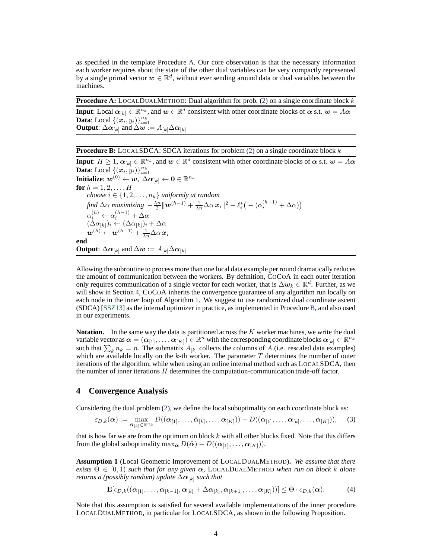as specified in the template Procedure [A.](#page-3-1) Our core observation is that the necessary information each worker requires about the state of the other dual variables can be very compactly represented by a single primal vector  $w \in \mathbb{R}^d$ , without ever sending around data or dual variables between the machines.

<span id="page-3-1"></span>**Procedure A:** LOCALDUALMETHOD: Dual algorithm for prob. [\(2\)](#page-2-1) on a single coordinate block  $k$ 

**Input**: Local  $\alpha_{[k]} \in \mathbb{R}^{n_k}$ , and  $w \in \mathbb{R}^d$  consistent with other coordinate blocks of  $\alpha$  s.t.  $w = A\alpha$ **Data**: Local  $\{(\mathbf{x}_i, y_i)\}_{i=1}^{n_k}$ **Output**:  $\Delta \alpha_{[k]}$  and  $\Delta w := A_{[k]} \Delta \alpha_{[k]}$ 

<span id="page-3-2"></span>**Procedure B:** LOCALSDCA: SDCA iterations for problem [\(2\)](#page-2-1) on a single coordinate block k

**Input**:  $H \geq 1$ ,  $\alpha_{[k]} \in \mathbb{R}^{n_k}$ , and  $w \in \mathbb{R}^d$  consistent with other coordinate blocks of  $\alpha$  s.t.  $w = A\alpha$ **Data**: Local  $\{(\boldsymbol{x}_i, y_i)\}_{i=1}^{n_k}$  $\textbf{Initialize: } \boldsymbol{w}^{(0)} \leftarrow \boldsymbol{w}, \ \overline{\Delta \alpha}_{[k]} \leftarrow \boldsymbol{0} \in \mathbb{R}^{n_k}$ **for**  $h = 1, 2, \ldots, H$ *choose*  $i \in \{1, 2, \ldots, n_k\}$  *uniformly at random* find  $\Delta \alpha$  maximizing  $-\frac{\lambda n}{2} || \boldsymbol{w}^{(h-1)} + \frac{1}{\lambda n} \Delta \alpha \, \boldsymbol{x}_i ||^2 - \ell_i^* (-(\alpha_i^{(h-1)} + \Delta \alpha))$  $\alpha_i^{(h)} \leftarrow \alpha_i^{(h-1)} + \Delta \alpha$  $(\Delta \alpha_{[k]})_i \leftarrow (\Delta \alpha_{[k]})_i + \Delta \alpha$  $\boldsymbol{w}^{(h)} \leftarrow \boldsymbol{w}^{(h-1)} + \frac{1}{\lambda n} \Delta \alpha \, \boldsymbol{x}_i$ **end Output**:  $\Delta \alpha_{[k]}$  and  $\Delta w := A_{[k]} \Delta \alpha_{[k]}$ 

Allowing the subroutine to process more than one local data example per round dramatically reduces the amount of communication between the workers. By definition, COCOA in each outer iteration only requires communication of a single vector for each worker, that is  $\Delta w_k \in \mathbb{R}^d$ . Further, as we will show in Section [4,](#page-3-0) COCOA inherits the convergence guarantee of any algorithm run locally on each node in the inner loop of Algorithm [1.](#page-2-2) We suggest to use randomized dual coordinate ascent (SDCA) [\[SSZ13\]](#page-8-4) as the internal optimizer in practice, as implemented in Procedure [B,](#page-3-2) and also used in our experiments.

**Notation.** In the same way the data is partitioned across the K worker machines, we write the dual variable vector as  $\alpha = (\alpha_{[1]}, \ldots, \alpha_{[K]}) \in \mathbb{R}^n$  with the corresponding coordinate blocks  $\alpha_{[k]} \in \mathbb{R}^{n_k}$ such that  $\sum_{k} n_k = n$ . The submatrix  $A_{[k]}$  collects the columns of A (i.e. rescaled data examples) which are available locally on the  $k$ -th worker. The parameter  $T$  determines the number of outer iterations of the algorithm, while when using an online internal method such as LOCALSDCA, then the number of inner iterations H determines the computation-communication trade-off factor.

## <span id="page-3-0"></span>**4 Convergence Analysis**

Considering the dual problem [\(2\)](#page-2-1), we define the local suboptimality on each coordinate block as:

$$
\varepsilon_{D,k}(\boldsymbol{\alpha}) := \max_{\hat{\boldsymbol{\alpha}}_{[k]} \in \mathbb{R}^{n_k}} D((\boldsymbol{\alpha}_{[1]},\ldots,\hat{\boldsymbol{\alpha}}_{[k]},\ldots,\boldsymbol{\alpha}_{[K]})) - D((\boldsymbol{\alpha}_{[1]},\ldots,\boldsymbol{\alpha}_{[k]},\ldots,\boldsymbol{\alpha}_{[K]})),
$$
(3)

that is how far we are from the optimum on block  $k$  with all other blocks fixed. Note that this differs from the global suboptimality max $_{\hat{\alpha}} D(\hat{\alpha}) - D((\alpha_{11}, \ldots, \alpha_{K)})$ .

<span id="page-3-3"></span>**Assumption 1** (Local Geometric Improvement of LOCALDUALMETHOD)**.** *We assume that there exists*  $\Theta \in [0, 1)$  *such that for any given*  $\alpha$ , LOCALDUALMETHOD *when run on block* k *alone returns a (possibly random) update*  $\Delta \alpha_{[k]}$  *such that* 

<span id="page-3-5"></span><span id="page-3-4"></span>
$$
\mathbf{E}[\epsilon_{D,k}((\boldsymbol{\alpha}_{[1]},\ldots,\boldsymbol{\alpha}_{[k-1]},\boldsymbol{\alpha}_{[k]}+\Delta \boldsymbol{\alpha}_{[k]},\boldsymbol{\alpha}_{[k+1]},\ldots,\boldsymbol{\alpha}_{[K]}))] \leq \Theta \cdot \epsilon_{D,k}(\boldsymbol{\alpha}). \tag{4}
$$

Note that this assumption is satisfied for several available implementations of the inner procedure LOCALDUALMETHOD, in particular for LOCALSDCA, as shown in the following Proposition.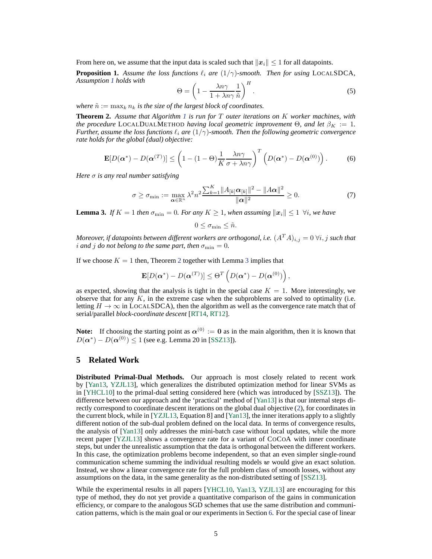<span id="page-4-5"></span>From here on, we assume that the input data is scaled such that  $||x_i|| \leq 1$  for all datapoints.

**Proposition 1.** Assume the loss functions  $\ell_i$  are  $(1/\gamma)$ -smooth. Then for using LOCALSDCA, *Assumption [1](#page-3-3) holds with*

<span id="page-4-4"></span>
$$
\Theta = \left(1 - \frac{\lambda n \gamma}{1 + \lambda n \gamma} \frac{1}{\tilde{n}}\right)^H.
$$
\n(5)

<span id="page-4-1"></span>*where*  $\tilde{n} := \max_k n_k$  *is the size of the largest block of coordinates.* 

**Theorem 2.** *Assume that Algorithm [1](#page-2-2) is run for* T *outer iterations on* K *worker machines, with the procedure* LOCALDUALMETHOD *having local geometric improvement*  $\Theta$ *, and let*  $\beta_K := 1$ *. Further, assume the loss functions*  $\ell_i$  *are*  $(1/\gamma)$ *-smooth. Then the following geometric convergence rate holds for the global (dual) objective:*

$$
\mathbf{E}[D(\boldsymbol{\alpha}^*) - D(\boldsymbol{\alpha}^{(T)})] \leq \left(1 - (1 - \Theta)\frac{1}{K}\frac{\lambda n\gamma}{\sigma + \lambda n\gamma}\right)^T \left(D(\boldsymbol{\alpha}^*) - D(\boldsymbol{\alpha}^{(0)})\right). \tag{6}
$$

*Here* σ *is any real number satisfying*

$$
\sigma \geq \sigma_{\min} := \max_{\boldsymbol{\alpha} \in \mathbb{R}^n} \lambda^2 n^2 \frac{\sum_{k=1}^K ||A_{[k]} \boldsymbol{\alpha}_{[k]}||^2 - ||A\boldsymbol{\alpha}||^2}{\|\boldsymbol{\alpha}\|^2} \geq 0. \tag{7}
$$

<span id="page-4-2"></span>**Lemma 3.** *If*  $K = 1$  *then*  $\sigma_{\min} = 0$ *. For any*  $K \geq 1$ *, when assuming*  $||x_i|| \leq 1 \forall i$ *, we have* 

<span id="page-4-3"></span>
$$
0 \leq \sigma_{\min} \leq \tilde{n}.
$$

*Moreover, if datapoints between different workers are orthogonal, i.e.*  $(A^T A)_{i,j} = 0 \ \forall i, j$  *such that i* and *j do* not belong to the same part, then  $\sigma_{\min} = 0$ .

If we choose  $K = 1$  then, Theorem [2](#page-4-1) together with Lemma [3](#page-4-2) implies that

$$
\mathbf{E}[D(\boldsymbol{\alpha}^*)-D(\boldsymbol{\alpha}^{(T)})] \leq \Theta^T\left(D(\boldsymbol{\alpha}^*)-D(\boldsymbol{\alpha}^{(0)})\right),
$$

as expected, showing that the analysis is tight in the special case  $K = 1$ . More interestingly, we observe that for any  $K$ , in the extreme case when the subproblems are solved to optimality (i.e. letting  $H \to \infty$  in LOCALSDCA), then the algorithm as well as the convergence rate match that of serial/parallel *block-coordinate descent* [\[RT14,](#page-8-9) [RT12\]](#page-8-10).

**Note:** If choosing the starting point as  $\alpha^{(0)} := 0$  as in the main algorithm, then it is known that  $D(\boldsymbol{\alpha}^*) - D(\boldsymbol{\alpha}^{(0)}) \le 1$  (see e.g. Lemma 20 in [\[SSZ13\]](#page-8-4)).

## <span id="page-4-0"></span>**5 Related Work**

**Distributed Primal-Dual Methods.** Our approach is most closely related to recent work by [\[Yan13,](#page-9-1) [YZJL13\]](#page-9-2), which generalizes the distributed optimization method for linear SVMs as in [\[YHCL10\]](#page-9-6) to the primal-dual setting considered here (which was introduced by [\[SSZ13\]](#page-8-4)). The difference between our approach and the 'practical' method of [\[Yan13\]](#page-9-1) is that our internal steps directly correspond to coordinate descent iterations on the global dual objective [\(2\)](#page-2-1), for coordinates in the current block, while in [\[YZJL13,](#page-9-2) Equation 8] and [\[Yan13\]](#page-9-1), the inner iterations apply to a slightly different notion of the sub-dual problem defined on the local data. In terms of convergence results, the analysis of [\[Yan13\]](#page-9-1) only addresses the mini-batch case without local updates, while the more recent paper [\[YZJL13\]](#page-9-2) shows a convergence rate for a variant of COCOA with inner coordinate steps, but under the unrealistic assumption that the data is orthogonal between the different workers. In this case, the optimization problems become independent, so that an even simpler single-round communication scheme summing the individual resulting models  $w$  would give an exact solution. Instead, we show a linear convergence rate for the full problem class of smooth losses, without any assumptions on the data, in the same generality as the non-distributed setting of [\[SSZ13\]](#page-8-4).

While the experimental results in all papers [\[YHCL10,](#page-9-6) [Yan13,](#page-9-1) [YZJL13\]](#page-9-2) are encouraging for this type of method, they do not yet provide a quantitative comparison of the gains in communication efficiency, or compare to the analogous SGD schemes that use the same distribution and communication patterns, which is the main goal or our experiments in Section [6.](#page-6-0) For the special case of linear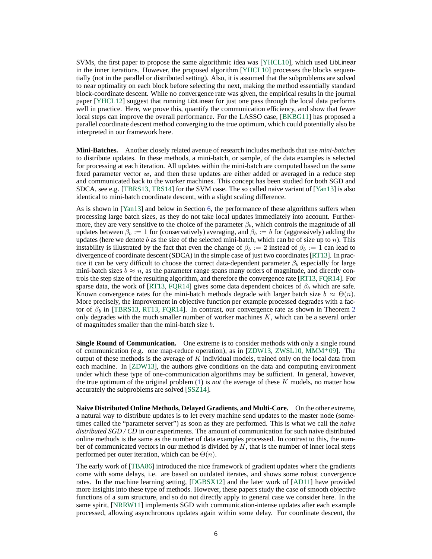SVMs, the first paper to propose the same algorithmic idea was [\[YHCL10\]](#page-9-6), which used LibLinear in the inner iterations. However, the proposed algorithm [\[YHCL10\]](#page-9-6) processes the blocks sequentially (not in the parallel or distributed setting). Also, it is assumed that the subproblems are solved to near optimality on each block before selecting the next, making the method essentially standard block-coordinate descent. While no convergence rate was given, the empirical results in the journal paper [\[YHCL12\]](#page-9-7) suggest that running LibLinear for just one pass through the local data performs well in practice. Here, we prove this, quantify the communication efficiency, and show that fewer local steps can improve the overall performance. For the LASSO case, [\[BKBG11\]](#page-8-1) has proposed a parallel coordinate descent method converging to the true optimum, which could potentially also be interpreted in our framework here.

**Mini-Batches.** Another closely related avenue of research includes methods that use *mini-batches* to distribute updates. In these methods, a mini-batch, or sample, of the data examples is selected for processing at each iteration. All updates within the mini-batch are computed based on the same fixed parameter vector  $w$ , and then these updates are either added or averaged in a reduce step and communicated back to the worker machines. This concept has been studied for both SGD and SDCA, see e.g. [\[TBRS13,](#page-9-3) [TRS14\]](#page-9-5) for the SVM case. The so called naive variant of [\[Yan13\]](#page-9-1) is also identical to mini-batch coordinate descent, with a slight scaling difference.

As is shown in [\[Yan13\]](#page-9-1) and below in Section [6,](#page-6-0) the performance of these algorithms suffers when processing large batch sizes, as they do not take local updates immediately into account. Furthermore, they are very sensitive to the choice of the parameter  $\beta_b$ , which controls the magnitude of all updates between  $\beta_b := 1$  for (conservatively) averaging, and  $\beta_b := b$  for (aggressively) adding the updates (here we denote  $b$  as the size of the selected mini-batch, which can be of size up to  $n$ ). This instability is illustrated by the fact that even the change of  $\beta_b := 2$  instead of  $\beta_b := 1$  can lead to divergence of coordinate descent (SDCA) in the simple case of just two coordinates [\[RT13\]](#page-8-11). In practice it can be very difficult to choose the correct data-dependent parameter  $\beta_b$  especially for large mini-batch sizes  $b \approx n$ , as the parameter range spans many orders of magnitude, and directly controls the step size of the resulting algorithm, and therefore the convergence rate [\[RT13,](#page-8-11) [FQR14\]](#page-8-12). For sparse data, the work of [\[RT13,](#page-8-11) [FQR14\]](#page-8-12) gives some data dependent choices of  $\beta_b$  which are safe. Known convergence rates for the mini-batch methods degrade with larger batch size  $b \approx \Theta(n)$ . More precisely, the improvement in objective function per example processed degrades with a factor of  $\beta_b$  in [\[TBRS13,](#page-9-3) [RT13,](#page-8-11) [FQR14\]](#page-8-12). In contrast, our convergence rate as shown in Theorem [2](#page-4-1) only degrades with the much smaller number of worker machines  $K$ , which can be a several order of magnitudes smaller than the mini-batch size b.

**Single Round of Communication.** One extreme is to consider methods with only a single round of communication (e.g. one map-reduce operation), as in [\[ZDW13,](#page-9-8) [ZWSL10,](#page-9-4)  $MMM^+09$  $MMM^+09$ ]. The output of these methods is the average of  $K$  individual models, trained only on the local data from each machine. In [\[ZDW13\]](#page-9-8), the authors give conditions on the data and computing environment under which these type of one-communication algorithms may be sufficient. In general, however, the true optimum of the original problem [\(1\)](#page-1-2) is *not* the average of these K models, no matter how accurately the subproblems are solved [\[SSZ14\]](#page-8-14).

**Naive Distributed Online Methods, Delayed Gradients, and Multi-Core.** On the other extreme, a natural way to distribute updates is to let every machine send updates to the master node (sometimes called the "parameter server") as soon as they are performed. This is what we call the *naive distributed SGD / CD* in our experiments. The amount of communication for such naive distributed online methods is the same as the number of data examples processed. In contrast to this, the number of communicated vectors in our method is divided by  $H$ , that is the number of inner local steps performed per outer iteration, which can be  $\Theta(n)$ .

The early work of [\[TBA86\]](#page-8-15) introduced the nice framework of gradient updates where the gradients come with some delays, i.e. are based on outdated iterates, and shows some robust convergence rates. In the machine learning setting, [\[DGBSX12\]](#page-8-16) and the later work of [\[AD11\]](#page-8-17) have provided more insights into these type of methods. However, these papers study the case of smooth objective functions of a sum structure, and so do not directly apply to general case we consider here. In the same spirit, [\[NRRW11\]](#page-8-0) implements SGD with communication-intense updates after each example processed, allowing asynchronous updates again within some delay. For coordinate descent, the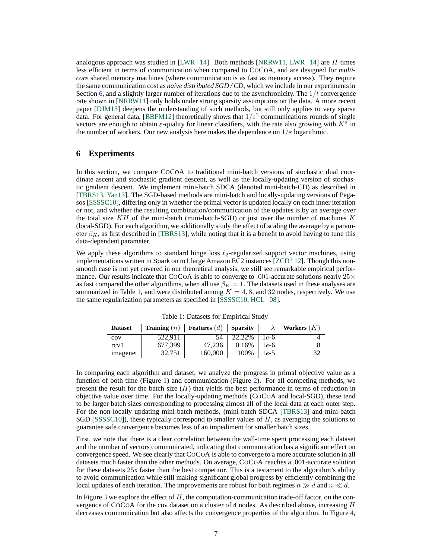analogous approach was studied in [\[LWR](#page-8-18)<sup>+</sup>14]. Both methods [\[NRRW11,](#page-8-0) [LWR](#page-8-18)<sup>+</sup>14] are H times less efficient in terms of communication when compared to COCOA, and are designed for *multicore* shared memory machines (where communication is as fast as memory access). They require the same communication cost as *naive distributed SGD / CD*, which we include in our experiments in Section [6,](#page-6-0) and a slightly larger number of iterations due to the asynchronicity. The  $1/t$  convergence rate shown in [\[NRRW11\]](#page-8-0) only holds under strong sparsity assumptions on the data. A more recent paper [\[DJM13\]](#page-8-19) deepens the understanding of such methods, but still only applies to very sparse data. For general data, [\[BBFM12\]](#page-8-20) theoretically shows that  $1/\varepsilon^2$  communications rounds of single vectors are enough to obtain  $\varepsilon$ -quality for linear classifiers, with the rate also growing with  $K^2$  in the number of workers. Our new analysis here makes the dependence on  $1/\varepsilon$  logarithmic.

#### <span id="page-6-0"></span>**6 Experiments**

In this section, we compare COCOA to traditional mini-batch versions of stochastic dual coordinate ascent and stochastic gradient descent, as well as the locally-updating version of stochastic gradient descent. We implement mini-batch SDCA (denoted mini-batch-CD) as described in [\[TBRS13,](#page-9-3) [Yan13\]](#page-9-1). The SGD-based methods are mini-batch and locally-updating versions of Pegasos [\[SSSSC10\]](#page-8-7), differing only in whether the primal vector is updated locally on each inner iteration or not, and whether the resulting combination/communication of the updates is by an average over the total size  $KH$  of the mini-batch (mini-batch-SGD) or just over the number of machines K (local-SGD). For each algorithm, we additionally study the effect of scaling the average by a parameter  $\beta_K$ , as first described in [\[TBRS13\]](#page-9-3), while noting that it is a benefit to avoid having to tune this data-dependent parameter.

We apply these algorithms to standard hinge loss  $\ell_2$ -regularized support vector machines, using implementations written in Spark on m1.large Amazon EC2 instances  $[ZCD^+12]$  $[ZCD^+12]$ . Though this nonsmooth case is not yet covered in our theoretical analysis, we still see remarkable empirical performance. Our results indicate that CoCoA is able to converge to .001-accurate solutions nearly  $25\times$ as fast compared the other algorithms, when all use  $\beta_K = 1$ . The datasets used in these analyses are summarized in Table [1,](#page-6-1) and were distributed among  $K = 4, 8$ , and 32 nodes, respectively. We use the same regularization parameters as specified in  $[SSSSC10, HCL<sup>+</sup>08]$  $[SSSSC10, HCL<sup>+</sup>08]$  $[SSSSC10, HCL<sup>+</sup>08]$  $[SSSSC10, HCL<sup>+</sup>08]$ .

<span id="page-6-1"></span>

| <b>Dataset</b> | <b>Training</b> (n) <b>Features</b> (d) <b>Sparsity</b> $\lambda$ <b>Workers</b> (K) |         |                      |    |
|----------------|--------------------------------------------------------------------------------------|---------|----------------------|----|
| cov            | 522.911                                                                              |         | $54$   22.22%   1e-6 |    |
| rcy1           | 677,399                                                                              | 47,236  | $0.16\%$   1e-6      |    |
| imagenet       | 32,751                                                                               | 160,000 | $100\% \mid 1e-5$    | 32 |

Table 1: Datasets for Empirical Study

In comparing each algorithm and dataset, we analyze the progress in primal objective value as a function of both time (Figure [1\)](#page-7-0) and communication (Figure [2\)](#page-7-1). For all competing methods, we present the result for the batch size  $(H)$  that yields the best performance in terms of reduction in objective value over time. For the locally-updating methods (COCOA and local-SGD), these tend to be larger batch sizes corresponding to processing almost all of the local data at each outer step. For the non-locally updating mini-batch methods, (mini-batch SDCA [\[TBRS13\]](#page-9-3) and mini-batch SGD [\[SSSSC10\]](#page-8-7)), these typically correspond to smaller values of  $H$ , as averaging the solutions to guarantee safe convergence becomes less of an impediment for smaller batch sizes.

First, we note that there is a clear correlation between the wall-time spent processing each dataset and the number of vectors communicated, indicating that communication has a significant effect on convergence speed. We see clearly that COCOA is able to converge to a more accurate solution in all datasets much faster than the other methods. On average, COCOA reaches a .001-accurate solution for these datasets 25x faster than the best competitor. This is a testament to the algorithm's ability to avoid communication while still making significant global progress by efficiently combining the local updates of each iteration. The improvements are robust for both regimes  $n \gg d$  and  $n \ll d$ .

In Figure [3](#page-7-2) we explore the effect of  $H$ , the computation-communication trade-off factor, on the convergence of COCOA for the cov dataset on a cluster of 4 nodes. As described above, increasing  $H$ decreases communication but also affects the convergence properties of the algorithm. In Figure [4,](#page-7-2)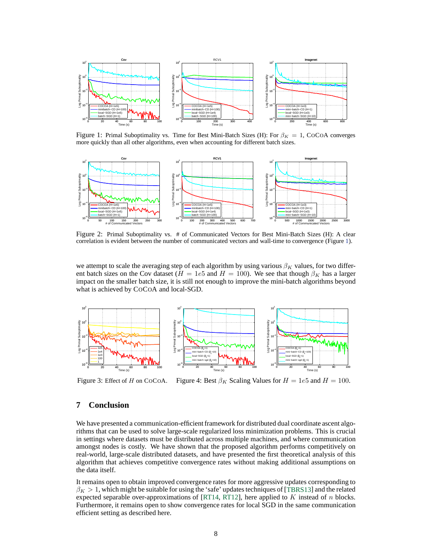<span id="page-7-0"></span>

Figure 1: Primal Suboptimality vs. Time for Best Mini-Batch Sizes (H): For  $\beta_K = 1$ , CoCoA converges more quickly than all other algorithms, even when accounting for different batch sizes.

<span id="page-7-1"></span>

Figure 2: Primal Suboptimality vs. # of Communicated Vectors for Best Mini-Batch Sizes (H): A clear correlation is evident between the number of communicated vectors and wall-time to convergence (Figure [1\)](#page-7-0).

we attempt to scale the averaging step of each algorithm by using various  $\beta_K$  values, for two different batch sizes on the Cov dataset ( $H = 1e5$  and  $H = 100$ ). We see that though  $\beta_K$  has a larger impact on the smaller batch size, it is still not enough to improve the mini-batch algorithms beyond what is achieved by COCOA and local-SGD.

<span id="page-7-2"></span>

Figure 3: Effect of H on CoCoA. Figure 4: Best  $\beta_K$  Scaling Values for  $H = 1e5$  and  $H = 100$ .

# **7 Conclusion**

We have presented a communication-efficient framework for distributed dual coordinate ascent algorithms that can be used to solve large-scale regularized loss minimization problems. This is crucial in settings where datasets must be distributed across multiple machines, and where communication amongst nodes is costly. We have shown that the proposed algorithm performs competitively on real-world, large-scale distributed datasets, and have presented the first theoretical analysis of this algorithm that achieves competitive convergence rates without making additional assumptions on the data itself.

It remains open to obtain improved convergence rates for more aggressive updates corresponding to  $\beta_K > 1$ , which might be suitable for using the 'safe' updates techniques of [\[TBRS13\]](#page-9-3) and the related expected separable over-approximations of [\[RT14,](#page-8-9) [RT12\]](#page-8-10), here applied to  $K$  instead of  $n$  blocks. Furthermore, it remains open to show convergence rates for local SGD in the same communication efficient setting as described here.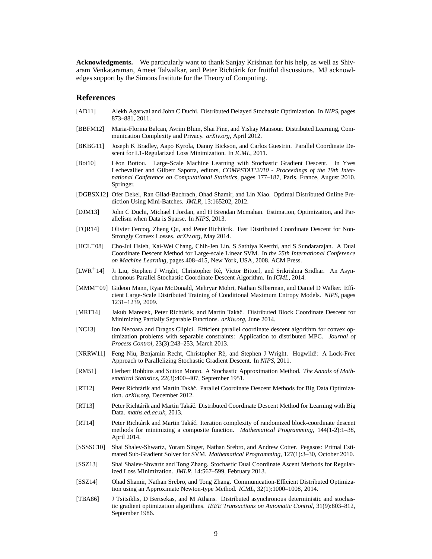**Acknowledgments.** We particularly want to thank Sanjay Krishnan for his help, as well as Shivaram Venkataraman, Ameet Talwalkar, and Peter Richtárik for fruitful discussions. MJ acknowledges support by the Simons Institute for the Theory of Computing.

## **References**

- <span id="page-8-17"></span>[AD11] Alekh Agarwal and John C Duchi. Distributed Delayed Stochastic Optimization. In *NIPS*, pages 873–881, 2011.
- <span id="page-8-20"></span>[BBFM12] Maria-Florina Balcan, Avrim Blum, Shai Fine, and Yishay Mansour. Distributed Learning, Communication Complexity and Privacy. *arXiv.org*, April 2012.
- <span id="page-8-1"></span>[BKBG11] Joseph K Bradley, Aapo Kyrola, Danny Bickson, and Carlos Guestrin. Parallel Coordinate Descent for L1-Regularized Loss Minimization. In *ICML*, 2011.
- <span id="page-8-6"></span>[Bot10] Léon Bottou. Large-Scale Machine Learning with Stochastic Gradient Descent. In Yves Lechevallier and Gilbert Saporta, editors, *COMPSTAT'2010 - Proceedings of the 19th International Conference on Computational Statistics*, pages 177–187, Paris, France, August 2010. Springer.
- <span id="page-8-16"></span>[DGBSX12] Ofer Dekel, Ran Gilad-Bachrach, Ohad Shamir, and Lin Xiao. Optimal Distributed Online Prediction Using Mini-Batches. *JMLR*, 13:165202, 2012.
- <span id="page-8-19"></span>[DJM13] John C Duchi, Michael I Jordan, and H Brendan Mcmahan. Estimation, Optimization, and Parallelism when Data is Sparse. In *NIPS*, 2013.
- <span id="page-8-12"></span>[FQR14] Olivier Fercoq, Zheng Qu, and Peter Richtárik. Fast Distributed Coordinate Descent for Non-Strongly Convex Losses. *arXiv.org*, May 2014.
- <span id="page-8-8"></span>[HCL<sup>+</sup>08] Cho-Jui Hsieh, Kai-Wei Chang, Chih-Jen Lin, S Sathiya Keerthi, and S Sundararajan. A Dual Coordinate Descent Method for Large-scale Linear SVM. In *the 25th International Conference on Machine Learning*, pages 408–415, New York, USA, 2008. ACM Press.
- <span id="page-8-18"></span>[LWR<sup>+</sup>14] Ji Liu, Stephen J Wright, Christopher Ré, Victor Bittorf, and Srikrishna Sridhar. An Asynchronous Parallel Stochastic Coordinate Descent Algorithm. In *ICML*, 2014.
- <span id="page-8-13"></span>[MMM<sup>+</sup>09] Gideon Mann, Ryan McDonald, Mehryar Mohri, Nathan Silberman, and Daniel D Walker. Efficient Large-Scale Distributed Training of Conditional Maximum Entropy Models. *NIPS*, pages 1231–1239, 2009.
- <span id="page-8-2"></span>[MRT14] Jakub Marecek, Peter Richtárik, and Martin Takáč. Distributed Block Coordinate Descent for Minimizing Partially Separable Functions. *arXiv.org*, June 2014.
- <span id="page-8-3"></span>[NC13] Ion Necoara and Dragos Clipici. Efficient parallel coordinate descent algorithm for convex optimization problems with separable constraints: Application to distributed MPC. *Journal of Process Control*, 23(3):243–253, March 2013.
- <span id="page-8-0"></span>[NRRW11] Feng Niu, Benjamin Recht, Christopher R´e, and Stephen J Wright. Hogwild!: A Lock-Free Approach to Parallelizing Stochastic Gradient Descent. In *NIPS*, 2011.
- <span id="page-8-5"></span>[RM51] Herbert Robbins and Sutton Monro. A Stochastic Approximation Method. *The Annals of Mathematical Statistics*, 22(3):400–407, September 1951.
- <span id="page-8-10"></span>[RT12] Peter Richtárik and Martin Takáč. Parallel Coordinate Descent Methods for Big Data Optimization. *arXiv.org*, December 2012.
- <span id="page-8-11"></span>[RT13] Peter Richtárik and Martin Takáč. Distributed Coordinate Descent Method for Learning with Big Data. *maths.ed.ac.uk*, 2013.
- <span id="page-8-9"></span>[RT14] Peter Richtárik and Martin Takáč. Iteration complexity of randomized block-coordinate descent methods for minimizing a composite function. *Mathematical Programming*, 144(1-2):1–38, April 2014.
- <span id="page-8-7"></span>[SSSSC10] Shai Shalev-Shwartz, Yoram Singer, Nathan Srebro, and Andrew Cotter. Pegasos: Primal Estimated Sub-Gradient Solver for SVM. *Mathematical Programming*, 127(1):3–30, October 2010.
- <span id="page-8-4"></span>[SSZ13] Shai Shalev-Shwartz and Tong Zhang. Stochastic Dual Coordinate Ascent Methods for Regularized Loss Minimization. *JMLR*, 14:567–599, February 2013.
- <span id="page-8-14"></span>[SSZ14] Ohad Shamir, Nathan Srebro, and Tong Zhang. Communication-Efficient Distributed Optimization using an Approximate Newton-type Method. *ICML*, 32(1):1000–1008, 2014.
- <span id="page-8-15"></span>[TBA86] J Tsitsiklis, D Bertsekas, and M Athans. Distributed asynchronous deterministic and stochastic gradient optimization algorithms. *IEEE Transactions on Automatic Control*, 31(9):803–812, September 1986.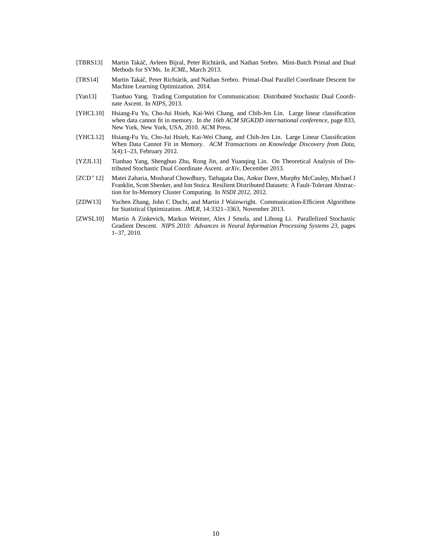- <span id="page-9-3"></span>[TBRS13] Martin Takáč, Avleen Bijral, Peter Richtárik, and Nathan Srebro. Mini-Batch Primal and Dual Methods for SVMs. In *ICML*, March 2013.
- <span id="page-9-5"></span>[TRS14] Martin Takáč, Peter Richtárik, and Nathan Srebro. Primal-Dual Parallel Coordinate Descent for Machine Learning Optimization. 2014.
- <span id="page-9-1"></span>[Yan13] Tianbao Yang. Trading Computation for Communication: Distributed Stochastic Dual Coordinate Ascent. In *NIPS*, 2013.
- <span id="page-9-6"></span>[YHCL10] Hsiang-Fu Yu, Cho-Jui Hsieh, Kai-Wei Chang, and Chih-Jen Lin. Large linear classification when data cannot fit in memory. In *the 16th ACM SIGKDD international conference*, page 833, New York, New York, USA, 2010. ACM Press.
- <span id="page-9-7"></span>[YHCL12] Hsiang-Fu Yu, Cho-Jui Hsieh, Kai-Wei Chang, and Chih-Jen Lin. Large Linear Classification When Data Cannot Fit in Memory. *ACM Transactions on Knowledge Discovery from Data*, 5(4):1–23, February 2012.
- <span id="page-9-2"></span>[YZJL13] Tianbao Yang, Shenghuo Zhu, Rong Jin, and Yuanqing Lin. On Theoretical Analysis of Distributed Stochastic Dual Coordinate Ascent. *arXiv*, December 2013.
- <span id="page-9-0"></span>[ZCD<sup>+</sup>12] Matei Zaharia, Mosharaf Chowdhury, Tathagata Das, Ankur Dave, Murphy McCauley, Michael J Franklin, Scott Shenker, and Ion Stoica. Resilient Distributed Datasets: A Fault-Tolerant Abstraction for In-Memory Cluster Computing. In *NSDI 2012*, 2012.
- <span id="page-9-8"></span>[ZDW13] Yuchen Zhang, John C Duchi, and Martin J Wainwright. Communication-Efficient Algorithms for Statistical Optimization. *JMLR*, 14:3321–3363, November 2013.
- <span id="page-9-4"></span>[ZWSL10] Martin A Zinkevich, Markus Weimer, Alex J Smola, and Lihong Li. Parallelized Stochastic Gradient Descent. *NIPS 2010: Advances in Neural Information Processing Systems 23*, pages 1–37, 2010.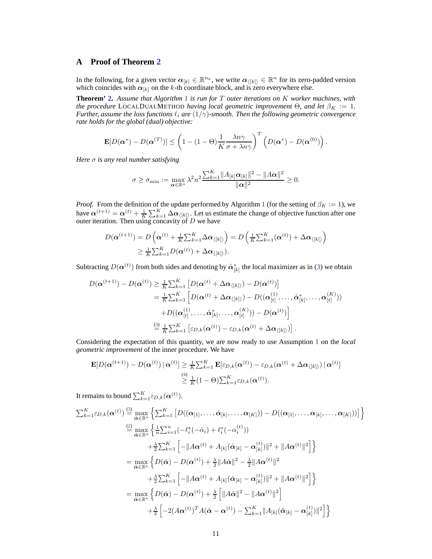## **A Proof of Theorem [2](#page-4-1)**

In the following, for a given vector  $\alpha_{[k]} \in \mathbb{R}^{n_k}$ , we write  $\alpha_{\{[k]\}} \in \mathbb{R}^n$  for its zero-padded version which coincides with  $\alpha_{[k]}$  on the k-th coordinate block, and is zero everywhere else.

**Theorem' [2.](#page-4-1)** *Assume that Algorithm [1](#page-2-2) is run for* T *outer iterations on* K *worker machines, with the procedure* LOCALDUALMETHOD *having local geometric improvement*  $\Theta$ *, and let*  $\beta_K := 1$ *. Further, assume the loss functions*  $\ell_i$  *are*  $(1/\gamma)$ *-smooth. Then the following geometric convergence rate holds for the global (dual) objective:*

$$
\mathbf{E}[D(\boldsymbol{\alpha}^*)-D(\boldsymbol{\alpha}^{(T)})] \leq \left(1-(1-\Theta)\frac{1}{K}\frac{\lambda n\gamma}{\sigma+\lambda n\gamma}\right)^T \left(D(\boldsymbol{\alpha}^*)-D(\boldsymbol{\alpha}^{(0)})\right).
$$

*Here* σ *is any real number satisfying*

$$
\sigma \geq \sigma_{\min} := \max_{\boldsymbol{\alpha} \in \mathbb{R}^n} \lambda^2 n^2 \frac{\sum_{k=1}^K \|A_{[k]} \boldsymbol{\alpha}_{[k]}\|^2 - \|A\boldsymbol{\alpha}\|^2}{\|\boldsymbol{\alpha}\|^2} \geq 0.
$$

*Proof.* From the definition of the update performed by Algorithm [1](#page-2-2) (for the setting of  $\beta_K := 1$ ), we have  $\alpha^{(t+1)} = \alpha^{(t)} + \frac{1}{K} \sum_{k=1}^{K} \Delta \alpha_{\langle k \rangle}$ . Let us estimate the change of objective function after one outer iteration. Then using concavity of  $D$  we have

$$
D(\boldsymbol{\alpha}^{(t+1)}) = D\left(\boldsymbol{\alpha}^{(t)} + \frac{1}{K}\sum_{k=1}^{K} \Delta \boldsymbol{\alpha}_{\langle [k] \rangle}\right) = D\left(\frac{1}{K}\sum_{k=1}^{K}(\boldsymbol{\alpha}^{(t)}) + \Delta \boldsymbol{\alpha}_{\langle [k] \rangle}\right)
$$
  

$$
\geq \frac{1}{K}\sum_{k=1}^{K}D(\boldsymbol{\alpha}^{(t)}) + \Delta \boldsymbol{\alpha}_{\langle [k] \rangle}).
$$

Subtracting  $D(\boldsymbol{\alpha}^{(t)})$  from both sides and denoting by  $\hat{\alpha}_{[k]}^*$  the local maximizer as in [\(3\)](#page-3-4) we obtain

$$
D(\boldsymbol{\alpha}^{(t+1)}) - D(\boldsymbol{\alpha}^{(t)}) \geq \frac{1}{K} \sum_{k=1}^{K} \left[ D(\boldsymbol{\alpha}^{(t)} + \Delta \boldsymbol{\alpha}_{\langle [k] \rangle}) - D(\boldsymbol{\alpha}^{(t)}) \right]
$$
  
\n
$$
= \frac{1}{K} \sum_{k=1}^{K} \left[ D(\boldsymbol{\alpha}^{(t)} + \Delta \boldsymbol{\alpha}_{\langle [k] \rangle}) - D((\boldsymbol{\alpha}_{[t]}^{(1)}, \dots, \hat{\boldsymbol{\alpha}}_{[k]}^{*}, \dots, \boldsymbol{\alpha}_{[t]}^{(K)})) \right]
$$
  
\n
$$
+ D((\boldsymbol{\alpha}_{[t]}^{(1)}, \dots, \hat{\boldsymbol{\alpha}}_{[k]}^{*}, \dots, \boldsymbol{\alpha}_{[t]}^{(K)})) - D(\boldsymbol{\alpha}^{(t)}) \right]
$$
  
\n
$$
\stackrel{(3)}{=} \frac{1}{K} \sum_{k=1}^{K} \left[ \varepsilon_{D,k}(\boldsymbol{\alpha}^{(t)}) - \varepsilon_{D,k}(\boldsymbol{\alpha}^{(t)} + \Delta \boldsymbol{\alpha}_{\langle [k] \rangle}) \right].
$$

Considering the expectation of this quantity, we are now ready to use Assumption [1](#page-3-3) on the *local geometric improvement* of the inner procedure. We have

$$
\mathbf{E}[D(\boldsymbol{\alpha}^{(t+1)})-D(\boldsymbol{\alpha}^{(t)})\,|\,\boldsymbol{\alpha}^{(t)}] \geq \frac{1}{K}\sum_{k=1}^{K}\mathbf{E}[\varepsilon_{D,k}(\boldsymbol{\alpha}^{(t)})-\varepsilon_{D,k}(\boldsymbol{\alpha}^{(t)}+\Delta\boldsymbol{\alpha}_{\langle [k] \rangle})\,|\,\boldsymbol{\alpha}^{(t)}]
$$
\n
$$
\stackrel{(4)}{\geq} \frac{1}{K}(1-\Theta)\sum_{k=1}^{K}\varepsilon_{D,k}(\boldsymbol{\alpha}^{(t)}).
$$

It remains to bound  $\sum_{k=1}^{K} \varepsilon_{D,k}(\boldsymbol{\alpha}^{(t)}).$ 

$$
\sum_{k=1}^{K} \varepsilon_{D,k}(\boldsymbol{\alpha}^{(t)}) \stackrel{(3)}{=} \max_{\hat{\alpha} \in \mathbb{R}^n} \left\{ \sum_{k=1}^{K} \left[ D((\boldsymbol{\alpha}_{[1]}, \ldots, \hat{\boldsymbol{\alpha}}_{[k]}, \ldots, \boldsymbol{\alpha}_{[K]})) - D((\boldsymbol{\alpha}_{[1]}, \ldots, \boldsymbol{\alpha}_{[k]}, \ldots, \boldsymbol{\alpha}_{[K]})) \right] \right\}
$$
  
\n
$$
\stackrel{(2)}{=} \max_{\hat{\alpha} \in \mathbb{R}^n} \left\{ \frac{1}{n} \sum_{i=1}^n \left( -\ell_i^*(-\hat{\alpha}_i) + \ell_i^*(-\alpha_i^{(t)}) \right) + \frac{\lambda}{2} \sum_{k=1}^K \left[ -\|A\boldsymbol{\alpha}^{(t)} + A_{[k]}(\hat{\boldsymbol{\alpha}}_{[k]} - \boldsymbol{\alpha}_{[k]}^{(t)}) \|^2 + \|A\boldsymbol{\alpha}^{(t)}\|^2 \right] \right\}
$$
  
\n
$$
= \max_{\hat{\alpha} \in \mathbb{R}^n} \left\{ D(\hat{\boldsymbol{\alpha}}) - D(\boldsymbol{\alpha}^{(t)}) + \frac{\lambda}{2} \|A\hat{\boldsymbol{\alpha}}\|^2 - \frac{\lambda}{2} \|A\boldsymbol{\alpha}^{(t)}\|^2 + \|A\boldsymbol{\alpha}^{(t)}\|^2 \right\}
$$
  
\n
$$
+ \frac{\lambda}{2} \sum_{k=1}^K \left[ -\|A\boldsymbol{\alpha}^{(t)} + A_{[k]}(\hat{\boldsymbol{\alpha}}_{[k]} - \boldsymbol{\alpha}_{[k]}^{(t)}) \|^2 + \|A\boldsymbol{\alpha}^{(t)}\|^2 \right] \right\}
$$
  
\n
$$
= \max_{\hat{\alpha} \in \mathbb{R}^n} \left\{ D(\hat{\boldsymbol{\alpha}}) - D(\boldsymbol{\alpha}^{(t)}) + \frac{\lambda}{2} \left[ \|A\hat{\boldsymbol{\alpha}}\|^2 - \|A\boldsymbol{\alpha}^{(t)}\|^2 \right] + \frac{\lambda}{2} \left[ -2(A\boldsymbol{\alpha}^{(t)})^T A(\hat{\boldsymbol{\alpha}} - \boldsymbol{\alpha}^{(t)}) - \sum_{k=1}^K \|A_{[k]}(\hat{\boldsymbol{\alpha}}_{[k]} - \boldsymbol{\alpha}_{[k]}^{(t)}) \|^2 \right] \right
$$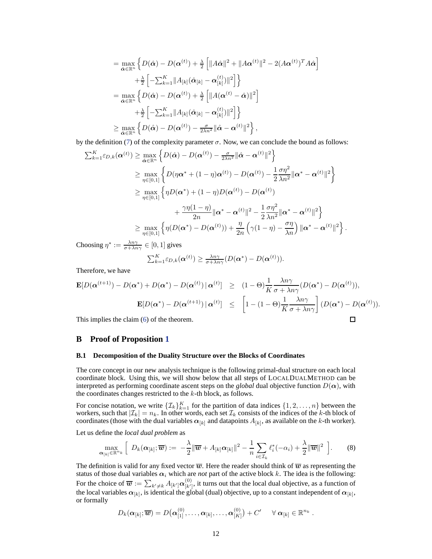$$
= \max_{\hat{\alpha} \in \mathbb{R}^n} \left\{ D(\hat{\alpha}) - D(\alpha^{(t)}) + \frac{\lambda}{2} \left[ \|A\hat{\alpha}\|^2 + \|A\alpha^{(t)}\|^2 - 2(A\alpha^{(t)})^T A\hat{\alpha} \right] \right\}
$$
  

$$
+ \frac{\lambda}{2} \left[ -\sum_{k=1}^K \|A_{[k]}(\hat{\alpha}_{[k]} - \alpha_{[k]}^{(t)})\|^2 \right] \right\}
$$
  

$$
= \max_{\hat{\alpha} \in \mathbb{R}^n} \left\{ D(\hat{\alpha}) - D(\alpha^{(t)}) + \frac{\lambda}{2} \left[ \|A(\alpha^{(t)} - \hat{\alpha})\|^2 \right] \right\}
$$
  

$$
+ \frac{\lambda}{2} \left[ -\sum_{k=1}^K \|A_{[k]}(\hat{\alpha}_{[k]} - \alpha_{[k]}^{(t)})\|^2 \right] \right\}
$$
  

$$
\geq \max_{\hat{\alpha} \in \mathbb{R}^n} \left\{ D(\hat{\alpha}) - D(\alpha^{(t)}) - \frac{\sigma}{2\lambda n^2} \|\hat{\alpha} - \alpha^{(t)}\|^2 \right\},
$$

by the definition [\(7\)](#page-4-3) of the complexity parameter  $\sigma$ . Now, we can conclude the bound as follows:

$$
\sum_{k=1}^{K} \varepsilon_{D,k}(\boldsymbol{\alpha}^{(t)}) \ge \max_{\hat{\boldsymbol{\alpha}} \in \mathbb{R}^n} \left\{ D(\hat{\boldsymbol{\alpha}}) - D(\boldsymbol{\alpha}^{(t)}) - \frac{\sigma}{2\lambda n^2} \|\hat{\boldsymbol{\alpha}} - \boldsymbol{\alpha}^{(t)}\|^2 \right\}
$$
  
\n
$$
\ge \max_{\eta \in [0,1]} \left\{ D(\eta \boldsymbol{\alpha}^* + (1-\eta) \boldsymbol{\alpha}^{(t)}) - D(\boldsymbol{\alpha}^{(t)}) - \frac{1}{2} \frac{\sigma \eta^2}{\lambda n^2} \|\boldsymbol{\alpha}^* - \boldsymbol{\alpha}^{(t)}\|^2 \right\}
$$
  
\n
$$
\ge \max_{\eta \in [0,1]} \left\{ \eta D(\boldsymbol{\alpha}^*) + (1-\eta)D(\boldsymbol{\alpha}^{(t)}) - D(\boldsymbol{\alpha}^{(t)}) + \frac{\gamma \eta (1-\eta)}{2n} \|\boldsymbol{\alpha}^* - \boldsymbol{\alpha}^{(t)}\|^2 - \frac{1}{2} \frac{\sigma \eta^2}{\lambda n^2} \|\boldsymbol{\alpha}^* - \boldsymbol{\alpha}^{(t)}\|^2 \right\}
$$
  
\n
$$
\ge \max_{\eta \in [0,1]} \left\{ \eta (D(\boldsymbol{\alpha}^*) - D(\boldsymbol{\alpha}^{(t)})) + \frac{\eta}{2n} \left( \gamma (1-\eta) - \frac{\sigma \eta}{\lambda n} \right) \|\boldsymbol{\alpha}^* - \boldsymbol{\alpha}^{(t)}\|^2 \right\}.
$$

Choosing  $\eta^* := \frac{\lambda n \gamma}{\sigma + \lambda n \gamma} \in [0, 1]$  gives

$$
\sum_{k=1}^K \varepsilon_{D,k}(\boldsymbol{\alpha}^{(t)}) \geq \frac{\lambda n \gamma}{\sigma + \lambda n \gamma} (D(\boldsymbol{\alpha}^*) - D(\boldsymbol{\alpha}^{(t)})).
$$

Therefore, we have

$$
\mathbf{E}[D(\alpha^{(t+1)}) - D(\alpha^*) + D(\alpha^*) - D(\alpha^{(t)}) \mid \alpha^{(t)}] \ge (1 - \Theta) \frac{1}{K} \frac{\lambda n \gamma}{\sigma + \lambda n \gamma} (D(\alpha^*) - D(\alpha^{(t)})),
$$
  
\n
$$
\mathbf{E}[D(\alpha^*) - D(\alpha^{(t+1)}) \mid \alpha^{(t)}] \le \left[1 - (1 - \Theta) \frac{1}{K} \frac{\lambda n \gamma}{\sigma + \lambda n \gamma} \right] (D(\alpha^*) - D(\alpha^{(t)})).
$$
  
\nThis implies the claim (6) of the theorem.

This implies the claim [\(6\)](#page-4-4) of the theorem.

### **B Proof of Proposition [1](#page-4-5)**

#### **B.1 Decomposition of the Duality Structure over the Blocks of Coordinates**

The core concept in our new analysis technique is the following primal-dual structure on each local coordinate block. Using this, we will show below that all steps of LOCALDUALMETHOD can be interpreted as performing coordinate ascent steps on the *global* dual objective function  $D(\alpha)$ , with the coordinates changes restricted to the k-th block, as follows.

For concise notation, we write  $\{\mathcal{I}_k\}_{k=1}^K$  for the partition of data indices  $\{1, 2, ..., n\}$  between the workers, such that  $|\mathcal{I}_k| = n_k$ . In other words, each set  $\mathcal{I}_k$  consists of the indices of the k-th block of coordinates (those with the dual variables  $\alpha_{[k]}$  and datapoints  $A_{[k]}$ , as available on the k-th worker).

Let us define the *local dual problem* as

<span id="page-11-0"></span>
$$
\max_{\boldsymbol{\alpha}_{[k]}\in\mathbb{R}^{n_{k}}}\left[\ D_{k}(\boldsymbol{\alpha}_{[k]};\overline{\boldsymbol{w}}):=-\frac{\lambda}{2}\|\overline{\boldsymbol{w}}+A_{[k]}\boldsymbol{\alpha}_{[k]}\|^{2}-\frac{1}{n}\sum_{i\in\mathcal{I}_{k}}\ell_{i}^{*}(-\alpha_{i})+\frac{\lambda}{2}\|\overline{\boldsymbol{w}}\|^{2}\ \right].
$$
 (8)

The definition is valid for any fixed vector  $\overline{w}$ . Here the reader should think of  $\overline{w}$  as representing the status of those dual variables  $\alpha_i$  which are *not* part of the active block k. The idea is the following: For the choice of  $\overline{\bm{w}} := \sum_{k' \neq k} A_{[k']} \alpha_{[k']}^{(0)}$ , it turns out that the local dual objective, as a function of the local variables  $\alpha_{[k]}$ , is identical the global (dual) objective, up to a constant independent of  $\alpha_{[k]}$ , or formally

$$
D_k(\boldsymbol{\alpha}_{[k]}; \overline{\boldsymbol{w}}) = D\big(\boldsymbol{\alpha}^{(0)}_{[1]}, \ldots, \boldsymbol{\alpha}_{[k]}, \ldots, \boldsymbol{\alpha}^{(0)}_{[K]}\big) + C' \quad \ \forall \ \boldsymbol{\alpha}_{[k]} \in \mathbb{R}^{n_k} ~.
$$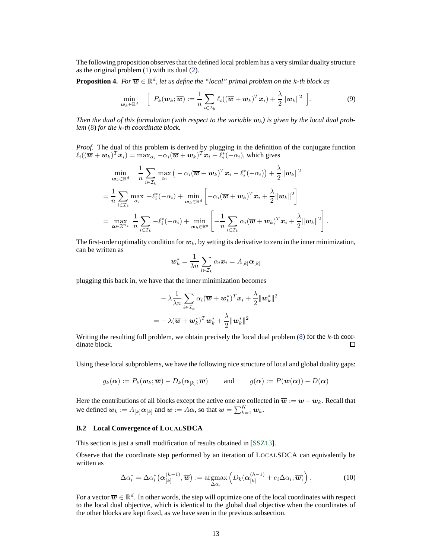The following proposition observes that the defined local problem has a very similar duality structure as the original problem [\(1\)](#page-1-2) with its dual [\(2\)](#page-2-1).

**Proposition 4.** For  $\overline{\boldsymbol{w}} \in \mathbb{R}^d$ , let us define the "local" primal problem on the k-th block as

$$
\min_{\mathbf{w}_k \in \mathbb{R}^d} \quad \left[ P_k(\mathbf{w}_k; \overline{\mathbf{w}}) := \frac{1}{n} \sum_{i \in \mathcal{I}_k} \ell_i((\overline{\mathbf{w}} + \mathbf{w}_k)^T \mathbf{x}_i) + \frac{\lambda}{2} ||\mathbf{w}_k||^2 \right]. \tag{9}
$$

*Then the dual of this formulation (with respect to the variable*  $w_k$ ) is given by the local dual prob*lem* [\(8\)](#page-11-0) *for the* k*-th coordinate block.*

*Proof.* The dual of this problem is derived by plugging in the definition of the conjugate function  $\ell_i((\overline{\boldsymbol{w}}+\boldsymbol{w}_k)^T\boldsymbol{x}_i)=\max_{\alpha_i}-\alpha_i(\overline{\boldsymbol{w}}+\boldsymbol{w}_k)^T\overline{\boldsymbol{x}_i-\ell_i^*(-\alpha_i)},$  which gives

$$
\min_{\mathbf{w}_k \in \mathbb{R}^d} \quad \frac{1}{n} \sum_{i \in \mathcal{I}_k} \max_{\alpha_i} \left( -\alpha_i (\overline{\mathbf{w}} + \mathbf{w}_k)^T \mathbf{x}_i - \ell_i^*(-\alpha_i) \right) + \frac{\lambda}{2} \|\mathbf{w}_k\|^2
$$
\n
$$
= \frac{1}{n} \sum_{i \in \mathcal{I}_k} \max_{\alpha_i} -\ell_i^*(-\alpha_i) + \min_{\mathbf{w}_k \in \mathbb{R}^d} \left[ -\alpha_i (\overline{\mathbf{w}} + \mathbf{w}_k)^T \mathbf{x}_i + \frac{\lambda}{2} \|\mathbf{w}_k\|^2 \right]
$$
\n
$$
= \max_{\alpha \in \mathbb{R}^{n_k}} \frac{1}{n} \sum_{i \in \mathcal{I}_k} -\ell_i^*(-\alpha_i) + \min_{\mathbf{w}_k \in \mathbb{R}^d} \left[ -\frac{1}{n} \sum_{i \in \mathcal{I}_k} \alpha_i (\overline{\mathbf{w}} + \mathbf{w}_k)^T \mathbf{x}_i + \frac{\lambda}{2} \|\mathbf{w}_k\|^2 \right].
$$

The first-order optimality condition for  $w_k$ , by setting its derivative to zero in the inner minimization, can be written as

$$
\boldsymbol{w}^*_k = \frac{1}{\lambda n}\sum_{i\in\mathcal{I}_k}\alpha_i\boldsymbol{x}_i = A_{[k]}\boldsymbol{\alpha}_{[k]}
$$

plugging this back in, we have that the inner minimization becomes

$$
- \lambda \frac{1}{\lambda n} \sum_{i \in \mathcal{I}_k} \alpha_i (\overline{\boldsymbol{w}} + \boldsymbol{w}_k^*)^T \boldsymbol{x}_i + \frac{\lambda}{2} {\|\boldsymbol{w}_k^*\|} \\ = - \lambda (\overline{\boldsymbol{w}} + \boldsymbol{w}_k^*)^T \boldsymbol{w}_k^* + \frac{\lambda}{2} {\|\boldsymbol{w}_k^*\|^2}
$$

<span id="page-12-0"></span>2

Writing the resulting full problem, we obtain precisely the local dual problem  $(8)$  for the  $k$ -th coordinate block. П

Using these local subproblems, we have the following nice structure of local and global duality gaps:

$$
g_k(\alpha) := P_k(\mathbf{w}_k; \overline{\mathbf{w}}) - D_k(\alpha_{[k]}; \overline{\mathbf{w}})
$$
 and  $g(\alpha) := P(\mathbf{w}(\alpha)) - D(\alpha)$ 

Here the contributions of all blocks except the active one are collected in  $\overline{w} := w - w_k$ . Recall that we defined  $\bm{w}_k := A_{[k]} \bm{\alpha}_{[k]}$  and  $\bm{w} := A \bm{\alpha}$ , so that  $\bm{w} = \sum_{k=1}^K \bm{w}_k$ .

#### **B.2 Local Convergence of LOCALSDCA**

This section is just a small modification of results obtained in [\[SSZ13\]](#page-8-4).

Observe that the coordinate step performed by an iteration of LOCALSDCA can equivalently be written as

$$
\Delta \alpha_i^* = \Delta \alpha_i^* \left( \alpha_{[k]}^{(h-1)}, \overline{\boldsymbol{w}} \right) := \underset{\Delta \alpha_i}{\operatorname{argmax}} \left( D_k(\alpha_{[k]}^{(h-1)} + e_i \Delta \alpha_i; \overline{\boldsymbol{w}}) \right). \tag{10}
$$

<span id="page-12-1"></span>For a vector  $\overline{\bm{w}}\in\mathbb{R}^d.$  In other words, the step will optimize one of the local coordinates with respect to the local dual objective, which is identical to the global dual objective when the coordinates of the other blocks are kept fixed, as we have seen in the previous subsection.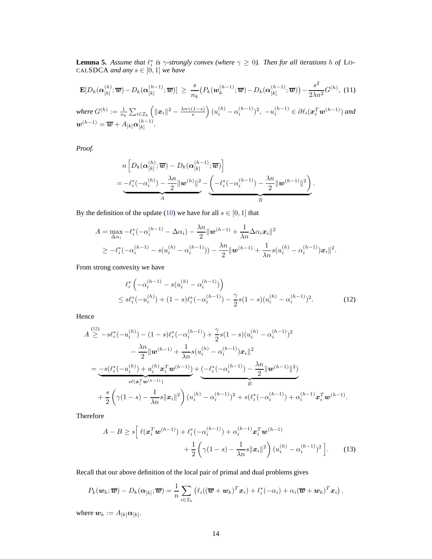**Lemma 5.** Assume that  $\ell_i^*$  is  $\gamma$ -strongly convex (where  $\gamma \geq 0$ ). Then for all iterations h of LO-CAL**SDCA** and any  $s \in [0, 1]$  we have

$$
\mathbf{E}[D_k(\boldsymbol{\alpha}_{[k]}^{(h)};\overline{\boldsymbol{w}}) - D_k(\boldsymbol{\alpha}_{[k]}^{(h-1)};\overline{\boldsymbol{w}})] \geq \frac{s}{n_k} \big( P_k(\boldsymbol{w}_k^{(h-1)};\overline{\boldsymbol{w}}) - D_k(\boldsymbol{\alpha}_{[k]}^{(h-1)};\overline{\boldsymbol{w}}) \big) - \frac{s^2}{2\lambda n^2} G^{(h)},
$$
(11)  
where  $G^{(h)} := \frac{1}{n_k} \sum_{i \in \mathcal{I}_k} \left( \|\boldsymbol{x}_i\|^2 - \frac{\lambda n \gamma (1-s)}{s} \right) (u_i^{(h)} - \alpha_i^{(h-1)})^2, -u_i^{(h-1)} \in \partial \ell_i(\boldsymbol{x}_i^T \boldsymbol{w}^{(h-1)})$  and  
 $\boldsymbol{w}^{(h-1)} = \overline{\boldsymbol{w}} + A_{[k]} \boldsymbol{\alpha}_{[k]}^{(h-1)}.$ 

*Proof.*

$$
n\left[D_k(\boldsymbol{\alpha}_{[k]}^{(h)};\overline{\boldsymbol{w}}) - D_k(\boldsymbol{\alpha}_{[k]}^{(h-1)};\overline{\boldsymbol{w}})\right]
$$
  
= 
$$
-\ell_i^*(-\alpha_i^{(h)}) - \frac{\lambda n}{2} ||\boldsymbol{w}^{(h)}||^2 - \underbrace{\left(-\ell_i^*(-\alpha_i^{(h-1)}) - \frac{\lambda n}{2} ||\boldsymbol{w}^{(h-1)}||^2\right)}_{B}.
$$

By the definition of the update [\(10\)](#page-12-0) we have for all  $s \in [0, 1]$  that

$$
A = \max_{\Delta \alpha_i} -\ell_i^*(-\alpha_i^{(h-1)} - \Delta \alpha_i) - \frac{\lambda n}{2} ||\mathbf{w}^{(h-1)} + \frac{1}{\lambda n} \Delta \alpha_i \mathbf{x}_i||^2
$$
  
\n
$$
\geq -\ell_i^*(-\alpha_i^{(h-1)} - s(u_i^{(h)} - \alpha_i^{(h-1)})) - \frac{\lambda n}{2} ||\mathbf{w}^{(h-1)} + \frac{1}{\lambda n} s(u_i^{(h)} - \alpha_i^{(h-1)}) \mathbf{x}_i||^2.
$$

From strong convexity we have

<span id="page-13-0"></span>
$$
\ell_i^* \left( -\alpha_i^{(h-1)} - s(u_i^{(h)} - \alpha_i^{(h-1)}) \right) \le s\ell_i^* (-u_i^{(h)}) + (1-s)\ell_i^* (-\alpha_i^{(h-1)}) - \frac{\gamma}{2}s(1-s)(u_i^{(h)} - \alpha_i^{(h-1)})^2.
$$
\n(12)

Hence

$$
A \stackrel{(12)}{\geq} -s\ell_i^*(-u_i^{(h)}) - (1-s)\ell_i^*(-\alpha_i^{(h-1)}) + \frac{\gamma}{2}s(1-s)(u_i^{(h)} - \alpha_i^{(h-1)})^2
$$
  

$$
- \frac{\lambda n}{2} ||\mathbf{w}^{(h-1)} + \frac{1}{\lambda n}s(u_i^{(h)} - \alpha_i^{(h-1)})\mathbf{x}_i||^2
$$
  

$$
= \underbrace{-s(\ell_i^*(-u_i^{(h)}) + u_i^{(h)}\mathbf{x}_i^T\mathbf{w}^{(h-1)})}_{s\ell(\mathbf{x}_i^T\mathbf{w}^{(h-1)})} + \underbrace{(-\ell_i^*(-\alpha_i^{(h-1)}) - \frac{\lambda n}{2} ||\mathbf{w}^{(h-1)}||^2)}_B
$$
  

$$
+ \frac{s}{2} \left(\gamma(1-s) - \frac{1}{\lambda n}s||\mathbf{x}_i||^2\right)(u_i^{(h)} - \alpha_i^{(h-1)})^2 + s(\ell_i^*(-\alpha_i^{(h-1)}) + \alpha_i^{(h-1)}\mathbf{x}_i^T\mathbf{w}^{(h-1)}.
$$

Therefore

<span id="page-13-1"></span>
$$
A - B \ge s \left[ \ell(\mathbf{x}_i^T \mathbf{w}^{(h-1)}) + \ell_i^*(-\alpha_i^{(h-1)}) + \alpha_i^{(h-1)} \mathbf{x}_i^T \mathbf{w}^{(h-1)} + \frac{1}{2} \left( \gamma(1-s) - \frac{1}{\lambda n} s \|\mathbf{x}_i\|^2 \right) (u_i^{(h)} - \alpha_i^{(h-1)})^2 \right].
$$
 (13)

Recall that our above definition of the local pair of primal and dual problems gives

$$
P_k(\boldsymbol{w}_k;\overline{\boldsymbol{w}}) - D_k(\boldsymbol{\alpha}_{[k]};\overline{\boldsymbol{w}}) = \frac{1}{n} \sum_{i \in \mathcal{I}_k} \left( \ell_i((\overline{\boldsymbol{w}} + \boldsymbol{w}_k)^T \boldsymbol{x}_i) + \ell_i^*(-\alpha_i) + \alpha_i(\overline{\boldsymbol{w}} + \boldsymbol{w}_k)^T \boldsymbol{x}_i \right).
$$

where  $\mathbf{w}_k := A_{[k]} \mathbf{\alpha}_{[k]}$ .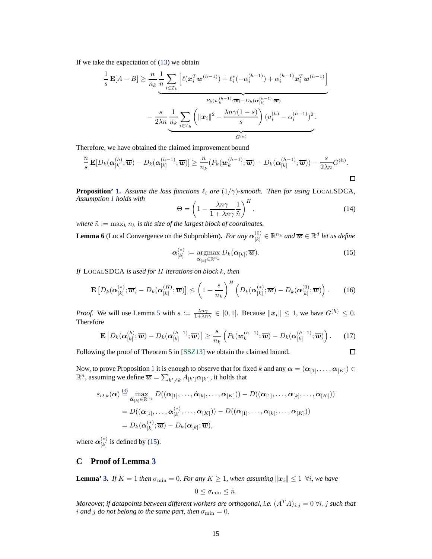If we take the expectation of [\(13\)](#page-13-1) we obtain

$$
\frac{1}{s}\mathbf{E}[A-B] \geq \frac{n}{n_k} \frac{1}{n} \sum_{i\in\mathcal{I}_k} \left[ \ell(\mathbf{x}_i^T \mathbf{w}^{(h-1)}) + \ell_i^*(-\alpha_i^{(h-1)}) + \alpha_i^{(h-1)} \mathbf{x}_i^T \mathbf{w}^{(h-1)} \right]
$$
\n
$$
- \frac{s}{2\lambda n} \underbrace{\frac{1}{n_k} \sum_{i\in\mathcal{I}_k} \left( \|\mathbf{x}_i\|^2 - \frac{\lambda n \gamma (1-s)}{s} \right) (u_i^{(h)} - \alpha_i^{(h-1)})^2}_{G^{(h)}}.
$$

Therefore, we have obtained the claimed improvement bound

$$
\frac{n}{s}\mathbf{E}[D_k(\boldsymbol{\alpha}_{[k]}^{(h)};\overline{\boldsymbol{w}})-D_k(\boldsymbol{\alpha}_{[k]}^{(h-1)};\overline{\boldsymbol{w}})] \geq \frac{n}{n_k}(P_k(\boldsymbol{w}_k^{(h-1)};\overline{\boldsymbol{w}})-D_k(\boldsymbol{\alpha}_{[k]}^{(h-1)};\overline{\boldsymbol{w}}))-\frac{s}{2\lambda n}G^{(h)}.
$$

**Proposition' [1.](#page-4-5)** Assume the loss functions  $\ell_i$  are  $(1/\gamma)$ -smooth. Then for using LOCALSDCA, *Assumption [1](#page-3-3) holds with*

$$
\Theta = \left(1 - \frac{\lambda n \gamma}{1 + \lambda n \gamma} \frac{1}{\tilde{n}}\right)^H.
$$
\n(14)

*where*  $\tilde{n} := \max_k n_k$  *is the size of the largest block of coordinates.* 

**Lemma 6** (Local Convergence on the Subproblem). *For any*  $\alpha_{\text{L1}}^{(0)}$  $\widehat{\mathbf{e}}_{[k]}^{(0)}\in\mathbb{R}^{n_k}$  and  $\overline{\boldsymbol{w}}\in\mathbb{R}^{d}$  let us define

$$
\boldsymbol{\alpha}_{[k]}^{(*)} := \underset{\boldsymbol{\alpha}_{[k]} \in \mathbb{R}^{n_k}}{\operatorname{argmax}} D_k(\boldsymbol{\alpha}_{[k]}; \overline{\boldsymbol{w}}). \tag{15}
$$

<span id="page-14-0"></span> $\Box$ 

*If* LOCALSDCA *is used for* H *iterations on block* k*, then*

$$
\mathbf{E}\left[D_k(\boldsymbol{\alpha}_{[k]}^{(*)};\overline{\boldsymbol{w}}) - D_k(\boldsymbol{\alpha}_{[k]}^{(H)};\overline{\boldsymbol{w}})\right] \leq \left(1 - \frac{s}{n_k}\right)^H \left(D_k(\boldsymbol{\alpha}_{[k]}^{(*)};\overline{\boldsymbol{w}}) - D_k(\boldsymbol{\alpha}_{[k]}^{(0)};\overline{\boldsymbol{w}})\right).
$$
 (16)

*Proof.* We will use Lemma [5](#page-12-1) with  $s := \frac{\lambda n \gamma}{1 + \lambda n \gamma} \in [0, 1]$ . Because  $||x_i|| \leq 1$ , we have  $G^{(h)} \leq 0$ . Therefore

$$
\mathbf{E}\left[D_k(\boldsymbol{\alpha}_{[k]}^{(h)};\overline{\boldsymbol{w}}) - D_k(\boldsymbol{\alpha}_{[k]}^{(h-1)};\overline{\boldsymbol{w}})\right] \geq \frac{s}{n_k}\left(P_k(\boldsymbol{w}_k^{(h-1)};\overline{\boldsymbol{w}}) - D_k(\boldsymbol{\alpha}_{[k]}^{(h-1)};\overline{\boldsymbol{w}})\right).
$$
 (17)

Following the proof of Theorem 5 in [\[SSZ13\]](#page-8-4) we obtain the claimed bound.

Now, to prove Proposition 1 it is enough to observe that for fixed k and any 
$$
\alpha = (\alpha_{[1]}, \dots, \alpha_{[K]}) \in \mathbb{R}^n
$$
, assuming we define  $\overline{w} = \sum_{k' \neq k} A_{[k']} \alpha_{[k']}$ , it holds that

$$
\varepsilon_{D,k}(\boldsymbol{\alpha}) \stackrel{\text{(3)}}{=} \max_{\hat{\boldsymbol{\alpha}}_{[k]}\in\mathbb{R}^{n_k}} D((\boldsymbol{\alpha}_{[1]},\ldots,\hat{\boldsymbol{\alpha}}_{[k]},\ldots,\boldsymbol{\alpha}_{[K]})) - D((\boldsymbol{\alpha}_{[1]},\ldots,\boldsymbol{\alpha}_{[k]},\ldots,\boldsymbol{\alpha}_{[K]}))
$$
  
=  $D((\boldsymbol{\alpha}_{[1]},\ldots,\boldsymbol{\alpha}_{[k]}^{(*)},\ldots,\boldsymbol{\alpha}_{[K]})) - D((\boldsymbol{\alpha}_{[1]},\ldots,\boldsymbol{\alpha}_{[k]},\ldots,\boldsymbol{\alpha}_{[K]}))$   
=  $D_k(\boldsymbol{\alpha}_{[k]}^{(*)};\overline{\boldsymbol{w}}) - D_k(\boldsymbol{\alpha}_{[k]};\overline{\boldsymbol{w}}),$ 

where  $\alpha_{\scriptscriptstyle[k]}^{(*)}$  $\binom{k}{k}$  is defined by [\(15\)](#page-14-0).

## **C Proof of Lemma [3](#page-4-2)**

**Lemma' [3.](#page-4-2)** *If*  $K = 1$  *then*  $\sigma_{\min} = 0$ *. For any*  $K \geq 1$ *, when assuming*  $||x_i|| \leq 1$   $\forall i$ *, we have* 

$$
0 \leq \sigma_{\min} \leq \tilde{n}.
$$

*Moreover, if datapoints between different workers are orthogonal, i.e.*  $(A^T A)_{i,j} = 0 \ \forall i, j$  *such that i* and *j do* not belong to the same part, then  $\sigma_{\min} = 0$ .